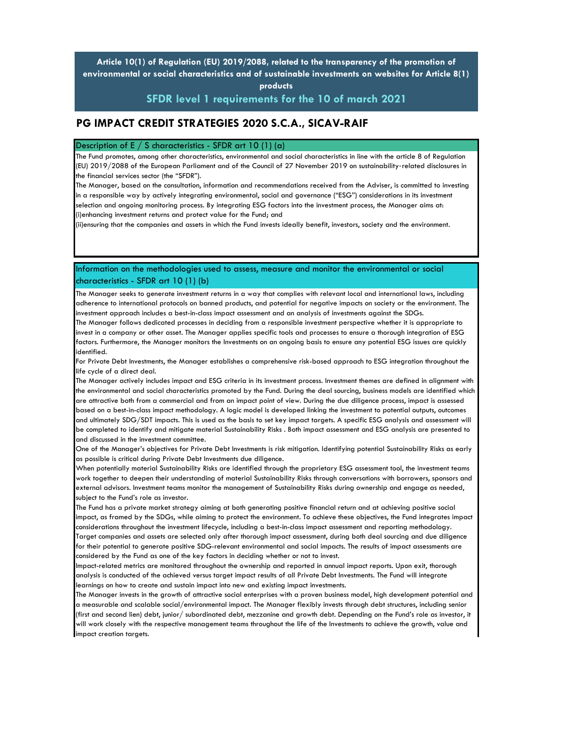**Article 10(1) of Regulation (EU) 2019/2088, related to the transparency of the promotion of environmental or social characteristics and of sustainable investments on websites for Article 8(1) products** 

**SFDR level 1 requirements for the 10 of march 2021**

## **PG IMPACT CREDIT STRATEGIES 2020 S.C.A., SICAV-RAIF**

## Description of E  $/$  S characteristics - SFDR art 10 (1) (a)

The Fund promotes, among other characteristics, environmental and social characteristics in line with the article 8 of Regulation (EU) 2019/2088 of the European Parliament and of the Council of 27 November 2019 on sustainability-related disclosures in the financial services sector (the "SFDR").

The Manager, based on the consultation, information and recommendations received from the Adviser, is committed to investing in a responsible way by actively integrating environmental, social and governance ("ESG") considerations in its investment selection and ongoing monitoring process. By integrating ESG factors into the investment process, the Manager aims at: (i)enhancing investment returns and protect value for the Fund; and

(ii)ensuring that the companies and assets in which the Fund invests ideally benefit, investors, society and the environment.

Information on the methodologies used to assess, measure and monitor the environmental or social characteristics - SFDR art 10 (1) (b)

The Manager seeks to generate investment returns in a way that complies with relevant local and international laws, including adherence to international protocols on banned products, and potential for negative impacts on society or the environment. The investment approach includes a best-in-class impact assessment and an analysis of investments against the SDGs.

The Manager follows dedicated processes in deciding from a responsible investment perspective whether it is appropriate to invest in a company or other asset. The Manager applies specific tools and processes to ensure a thorough integration of ESG factors. Furthermore, the Manager monitors the Investments on an ongoing basis to ensure any potential ESG issues are quickly identified.

For Private Debt Investments, the Manager establishes a comprehensive risk-based approach to ESG integration throughout the life cycle of a direct deal.

The Manager actively includes impact and ESG criteria in its investment process. Investment themes are defined in alignment with the environmental and social characteristics promoted by the Fund. During the deal sourcing, business models are identified which are attractive both from a commercial and from an impact point of view. During the due diligence process, impact is assessed based on a best-in-class impact methodology. A logic model is developed linking the investment to potential outputs, outcomes and ultimately SDG/SDT impacts. This is used as the basis to set key impact targets. A specific ESG analysis and assessment will be completed to identify and mitigate material Sustainability Risks . Both impact assessment and ESG analysis are presented to and discussed in the investment committee.

One of the Manager's objectives for Private Debt Investments is risk mitigation. Identifying potential Sustainability Risks as early as possible is critical during Private Debt Investments due diligence.

When potentially material Sustainability Risks are identified through the proprietary ESG assessment tool, the investment teams work together to deepen their understanding of material Sustainability Risks through conversations with borrowers, sponsors and external advisors. Investment teams monitor the management of Sustainability Risks during ownership and engage as needed, subject to the Fund's role as investor.

The Fund has a private market strategy aiming at both generating positive financial return and at achieving positive social impact, as framed by the SDGs, while aiming to protect the environment. To achieve these objectives, the Fund integrates impact considerations throughout the investment lifecycle, including a best-in-class impact assessment and reporting methodology. Target companies and assets are selected only after thorough impact assessment, during both deal sourcing and due diligence for their potential to generate positive SDG-relevant environmental and social impacts. The results of impact assessments are considered by the Fund as one of the key factors in deciding whether or not to invest.

Impact-related metrics are monitored throughout the ownership and reported in annual impact reports. Upon exit, thorough analysis is conducted of the achieved versus target impact results of all Private Debt Investments. The Fund will integrate learnings on how to create and sustain impact into new and existing impact investments.

The Manager invests in the growth of attractive social enterprises with a proven business model, high development potential and a measurable and scalable social/environmental impact. The Manager flexibly invests through debt structures, including senior (first and second lien) debt, junior/ subordinated debt, mezzanine and growth debt. Depending on the Fund's role as investor, it will work closely with the respective management teams throughout the life of the Investments to achieve the growth, value and impact creation targets.